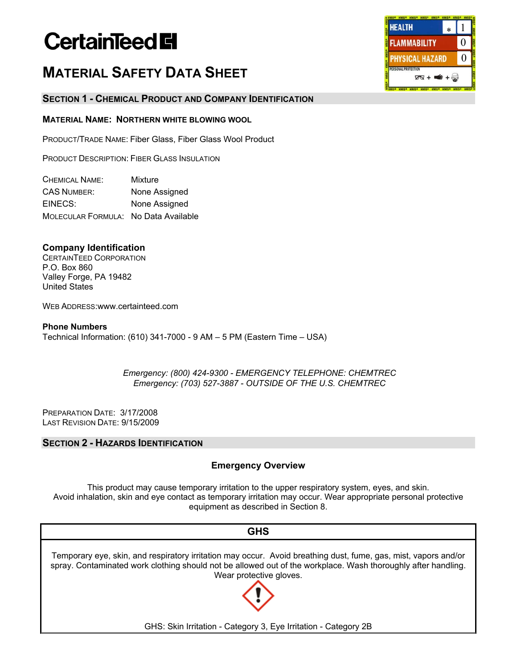# **CertainTeed El**

# **MATERIAL SAFETY DATA SHEET**

# **SECTION 1 - CHEMICAL PRODUCT AND COMPANY IDENTIFICATION**

# **MATERIAL NAME: NORTHERN WHITE BLOWING WOOL**

PRODUCT/TRADE NAME: Fiber Glass, Fiber Glass Wool Product

PRODUCT DESCRIPTION: FIBER GLASS INSULATION

| <b>CHEMICAL NAME:</b>                | Mixture       |
|--------------------------------------|---------------|
| <b>CAS NUMBER:</b>                   | None Assigned |
| EINECS:                              | None Assigned |
| MOLECULAR FORMULA: No Data Available |               |

# **Company Identification**

CERTAINTEED CORPORATION P.O. Box 860 Valley Forge, PA 19482 United States

WEB ADDRESS:www.certainteed.com

**Phone Numbers**  Technical Information: (610) 341-7000 - 9 AM – 5 PM (Eastern Time – USA)

> *Emergency: (800) 424-9300 - EMERGENCY TELEPHONE: CHEMTREC Emergency: (703) 527-3887 - OUTSIDE OF THE U.S. CHEMTREC*

PREPARATION DATE: 3/17/2008 LAST REVISION DATE: 9/15/2009

# **SECTION 2 - HAZARDS IDENTIFICATION**

# **Emergency Overview**

This product may cause temporary irritation to the upper respiratory system, eyes, and skin. Avoid inhalation, skin and eye contact as temporary irritation may occur. Wear appropriate personal protective equipment as described in Section 8.



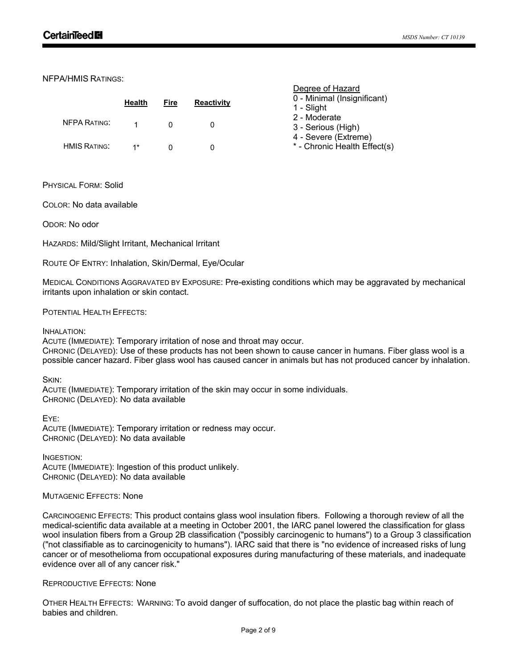NFPA/HMIS RATINGS:

|                     | Health | Fire         | <b>Reactivity</b> | 0 - Min<br>$1 -$ Slig |
|---------------------|--------|--------------|-------------------|-----------------------|
| <b>NFPA RATING:</b> | 1      | <sup>n</sup> |                   | $2 - Mo($<br>3 - Ser  |
| <b>HMIS RATING:</b> | $1*$   |              |                   | $4 - Sec$<br>* - Chr  |

| Degree of Hazard |  |
|------------------|--|
|------------------|--|

|  | 0 - Minimal (Insignificant) |
|--|-----------------------------|
|  |                             |

- ነht
- derate
- rious (High)
- vere (Extreme)
- onic Health Effect(s)

PHYSICAL FORM: Solid

COLOR: No data available

ODOR: No odor

HAZARDS: Mild/Slight Irritant, Mechanical Irritant

ROUTE OF ENTRY: Inhalation, Skin/Dermal, Eye/Ocular

MEDICAL CONDITIONS AGGRAVATED BY EXPOSURE: Pre-existing conditions which may be aggravated by mechanical irritants upon inhalation or skin contact.

POTENTIAL HEALTH EFFECTS:

INHALATION:

ACUTE (IMMEDIATE): Temporary irritation of nose and throat may occur. CHRONIC (DELAYED): Use of these products has not been shown to cause cancer in humans. Fiber glass wool is a possible cancer hazard. Fiber glass wool has caused cancer in animals but has not produced cancer by inhalation.

SKIN:

ACUTE (IMMEDIATE): Temporary irritation of the skin may occur in some individuals. CHRONIC (DELAYED): No data available

EYE:

ACUTE (IMMEDIATE): Temporary irritation or redness may occur. CHRONIC (DELAYED): No data available

INGESTION:

ACUTE (IMMEDIATE): Ingestion of this product unlikely. CHRONIC (DELAYED): No data available

MUTAGENIC EFFECTS: None

CARCINOGENIC EFFECTS: This product contains glass wool insulation fibers. Following a thorough review of all the medical-scientific data available at a meeting in October 2001, the IARC panel lowered the classification for glass wool insulation fibers from a Group 2B classification ("possibly carcinogenic to humans") to a Group 3 classification ("not classifiable as to carcinogenicity to humans"). IARC said that there is "no evidence of increased risks of lung cancer or of mesothelioma from occupational exposures during manufacturing of these materials, and inadequate evidence over all of any cancer risk."

#### REPRODUCTIVE EFFECTS: None

OTHER HEALTH EFFECTS: WARNING: To avoid danger of suffocation, do not place the plastic bag within reach of babies and children.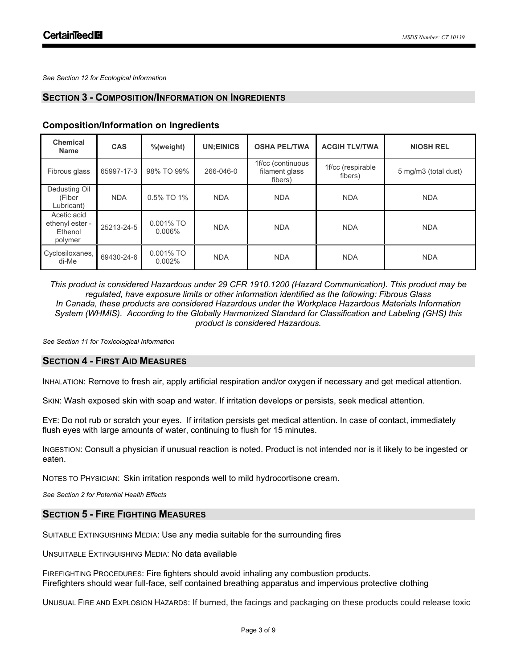*See Section 12 for Ecological Information*

# **SECTION 3 - COMPOSITION/INFORMATION ON INGREDIENTS**

| <b>Chemical</b><br><b>Name</b>                       | <b>CAS</b> | %(weight)              | <b>UN:EINICS</b> | <b>OSHA PEL/TWA</b>                            | <b>ACGIH TLV/TWA</b>         | <b>NIOSH REL</b>     |
|------------------------------------------------------|------------|------------------------|------------------|------------------------------------------------|------------------------------|----------------------|
| Fibrous glass                                        | 65997-17-3 | 98% TO 99%             | 266-046-0        | 1f/cc (continuous<br>filament glass<br>fibers) | 1f/cc (respirable<br>fibers) | 5 mg/m3 (total dust) |
| Dedusting Oil<br>(Fiber<br>Lubricant)                | <b>NDA</b> | 0.5% TO 1%             | <b>NDA</b>       | <b>NDA</b>                                     | <b>NDA</b>                   | <b>NDA</b>           |
| Acetic acid<br>ethenyl ester -<br>Ethenol<br>polymer | 25213-24-5 | 0.001% TO<br>0.006%    | <b>NDA</b>       | <b>NDA</b>                                     | <b>NDA</b>                   | <b>NDA</b>           |
| Cyclosiloxanes,<br>di-Me                             | 69430-24-6 | $0.001\%$ TO<br>0.002% | <b>NDA</b>       | <b>NDA</b>                                     | <b>NDA</b>                   | <b>NDA</b>           |

# **Composition/Information on Ingredients**

*This product is considered Hazardous under 29 CFR 1910.1200 (Hazard Communication). This product may be regulated, have exposure limits or other information identified as the following: Fibrous Glass In Canada, these products are considered Hazardous under the Workplace Hazardous Materials Information System (WHMIS). According to the Globally Harmonized Standard for Classification and Labeling (GHS) this product is considered Hazardous.*

*See Section 11 for Toxicological Information* 

# **SECTION 4 - FIRST AID MEASURES**

INHALATION: Remove to fresh air, apply artificial respiration and/or oxygen if necessary and get medical attention.

SKIN: Wash exposed skin with soap and water. If irritation develops or persists, seek medical attention.

EYE: Do not rub or scratch your eyes. If irritation persists get medical attention. In case of contact, immediately flush eyes with large amounts of water, continuing to flush for 15 minutes.

INGESTION: Consult a physician if unusual reaction is noted. Product is not intended nor is it likely to be ingested or eaten.

NOTES TO PHYSICIAN: Skin irritation responds well to mild hydrocortisone cream.

*See Section 2 for Potential Health Effects*

# **SECTION 5 - FIRE FIGHTING MEASURES**

SUITABLE EXTINGUISHING MEDIA: Use any media suitable for the surrounding fires

UNSUITABLE EXTINGUISHING MEDIA: No data available

FIREFIGHTING PROCEDURES: Fire fighters should avoid inhaling any combustion products. Firefighters should wear full-face, self contained breathing apparatus and impervious protective clothing

UNUSUAL FIRE AND EXPLOSION HAZARDS: If burned, the facings and packaging on these products could release toxic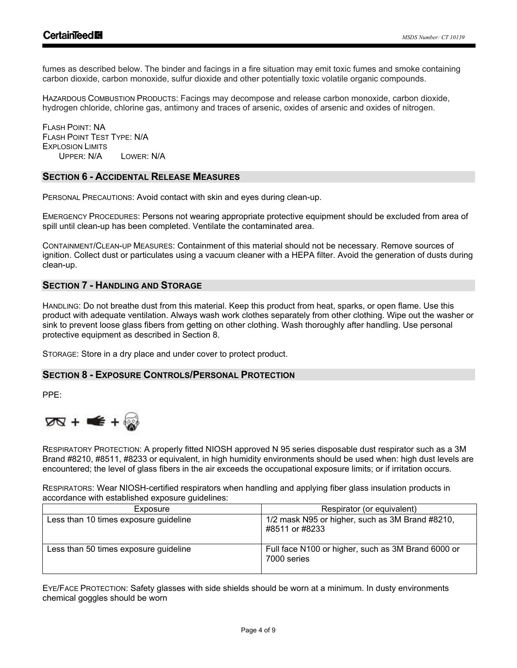fumes as described below. The binder and facings in a fire situation may emit toxic fumes and smoke containing carbon dioxide, carbon monoxide, sulfur dioxide and other potentially toxic volatile organic compounds.

HAZARDOUS COMBUSTION PRODUCTS: Facings may decompose and release carbon monoxide, carbon dioxide, hydrogen chloride, chlorine gas, antimony and traces of arsenic, oxides of arsenic and oxides of nitrogen.

FLASH POINT: NA FLASH POINT TEST TYPE: N/A EXPLOSION LIMITS UPPER: N/A LOWER: N/A

# **SECTION 6 - ACCIDENTAL RELEASE MEASURES**

PERSONAL PRECAUTIONS: Avoid contact with skin and eyes during clean-up.

EMERGENCY PROCEDURES: Persons not wearing appropriate protective equipment should be excluded from area of spill until clean-up has been completed. Ventilate the contaminated area.

CONTAINMENT/CLEAN-UP MEASURES: Containment of this material should not be necessary. Remove sources of ignition. Collect dust or particulates using a vacuum cleaner with a HEPA filter. Avoid the generation of dusts during clean-up.

# **SECTION 7 - HANDLING AND STORAGE**

HANDLING: Do not breathe dust from this material. Keep this product from heat, sparks, or open flame. Use this product with adequate ventilation. Always wash work clothes separately from other clothing. Wipe out the washer or sink to prevent loose glass fibers from getting on other clothing. Wash thoroughly after handling. Use personal protective equipment as described in Section 8.

STORAGE: Store in a dry place and under cover to protect product.

# **SECTION 8 - EXPOSURE CONTROLS/PERSONAL PROTECTION**

PPE:



RESPIRATORY PROTECTION: A properly fitted NIOSH approved N 95 series disposable dust respirator such as a 3M Brand #8210, #8511, #8233 or equivalent, in high humidity environments should be used when: high dust levels are encountered; the level of glass fibers in the air exceeds the occupational exposure limits; or if irritation occurs.

RESPIRATORS: Wear NIOSH-certified respirators when handling and applying fiber glass insulation products in accordance with established exposure guidelines:

| Exposure                              | Respirator (or equivalent)                                        |
|---------------------------------------|-------------------------------------------------------------------|
| Less than 10 times exposure guideline | 1/2 mask N95 or higher, such as 3M Brand #8210,<br>#8511 or #8233 |
| Less than 50 times exposure guideline | Full face N100 or higher, such as 3M Brand 6000 or<br>7000 series |

EYE/FACE PROTECTION: Safety glasses with side shields should be worn at a minimum. In dusty environments chemical goggles should be worn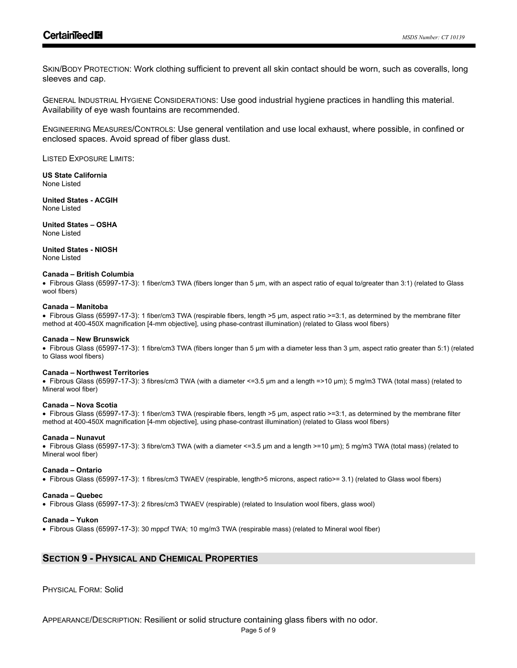SKIN/BODY PROTECTION: Work clothing sufficient to prevent all skin contact should be worn, such as coveralls, long sleeves and cap.

GENERAL INDUSTRIAL HYGIENE CONSIDERATIONS: Use good industrial hygiene practices in handling this material. Availability of eye wash fountains are recommended.

ENGINEERING MEASURES/CONTROLS: Use general ventilation and use local exhaust, where possible, in confined or enclosed spaces. Avoid spread of fiber glass dust.

LISTED EXPOSURE LIMITS:

**US State California** None Listed

**United States - ACGIH** None Listed

**United States – OSHA**  None Listed

**United States - NIOSH** None Listed

#### **Canada – British Columbia**

• Fibrous Glass (65997-17-3): 1 fiber/cm3 TWA (fibers longer than 5 µm, with an aspect ratio of equal to/greater than 3:1) (related to Glass wool fibers)

#### **Canada – Manitoba**

• Fibrous Glass (65997-17-3): 1 fiber/cm3 TWA (respirable fibers, length >5 µm, aspect ratio >=3:1, as determined by the membrane filter method at 400-450X magnification [4-mm objective], using phase-contrast illumination) (related to Glass wool fibers)

#### **Canada – New Brunswick**

• Fibrous Glass (65997-17-3): 1 fibre/cm3 TWA (fibers longer than 5 µm with a diameter less than 3 µm, aspect ratio greater than 5:1) (related to Glass wool fibers)

#### **Canada – Northwest Territories**

• Fibrous Glass (65997-17-3): 3 fibres/cm3 TWA (with a diameter <=3.5 µm and a length =>10 µm); 5 mg/m3 TWA (total mass) (related to Mineral wool fiber)

#### **Canada – Nova Scotia**

• Fibrous Glass (65997-17-3): 1 fiber/cm3 TWA (respirable fibers, length >5 µm, aspect ratio >=3:1, as determined by the membrane filter method at 400-450X magnification [4-mm objective], using phase-contrast illumination) (related to Glass wool fibers)

#### **Canada – Nunavut**

• Fibrous Glass (65997-17-3): 3 fibre/cm3 TWA (with a diameter <=3.5 µm and a length >=10 µm); 5 mg/m3 TWA (total mass) (related to Mineral wool fiber)

#### **Canada – Ontario**

• Fibrous Glass (65997-17-3): 1 fibres/cm3 TWAEV (respirable, length>5 microns, aspect ratio>= 3.1) (related to Glass wool fibers)

#### **Canada – Quebec**

• Fibrous Glass (65997-17-3): 2 fibres/cm3 TWAEV (respirable) (related to Insulation wool fibers, glass wool)

#### **Canada – Yukon**

• Fibrous Glass (65997-17-3): 30 mppcf TWA; 10 mg/m3 TWA (respirable mass) (related to Mineral wool fiber)

# **SECTION 9 - PHYSICAL AND CHEMICAL PROPERTIES**

PHYSICAL FORM: Solid

APPEARANCE/DESCRIPTION: Resilient or solid structure containing glass fibers with no odor.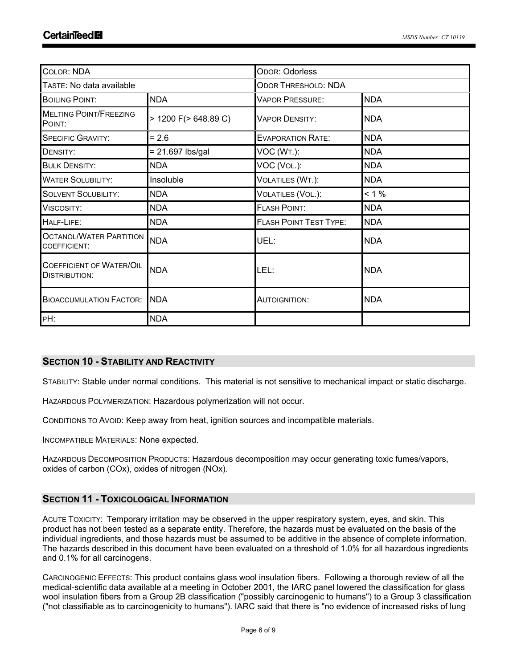| <b>COLOR: NDA</b>                                       |                      | <b>ODOR: Odorless</b>                |            |  |
|---------------------------------------------------------|----------------------|--------------------------------------|------------|--|
| TASTE: No data available                                |                      | <b>ODOR THRESHOLD: NDA</b>           |            |  |
| <b>BOILING POINT:</b>                                   | <b>NDA</b>           | <b>NDA</b><br><b>VAPOR PRESSURE:</b> |            |  |
| <b>MELTING POINT/FREEZING</b><br>POINT:                 | > 1200 F(> 648.89 C) | <b>VAPOR DENSITY:</b>                | <b>NDA</b> |  |
| <b>SPECIFIC GRAVITY:</b>                                | $= 2.6$              | <b>EVAPORATION RATE:</b>             | <b>NDA</b> |  |
| DENSITY:                                                | $= 21.697$ lbs/gal   | VOC (WT.):                           | <b>NDA</b> |  |
| <b>BULK DENSITY:</b>                                    | <b>NDA</b>           | VOC (VOL.):                          | <b>NDA</b> |  |
| <b>WATER SOLUBILITY:</b>                                | Insoluble            | VOLATILES (WT.):                     | <b>NDA</b> |  |
| <b>SOLVENT SOLUBILITY:</b>                              | <b>NDA</b>           | VOLATILES (VOL.):                    | $< 1 \%$   |  |
| VISCOSITY:                                              | <b>NDA</b>           | <b>FLASH POINT:</b>                  | <b>NDA</b> |  |
| HALF-LIFE:                                              | <b>NDA</b>           | <b>FLASH POINT TEST TYPE:</b>        | <b>NDA</b> |  |
| <b>OCTANOL/WATER PARTITION</b><br>COEFFICIENT:          | <b>NDA</b>           | UEL:                                 | <b>NDA</b> |  |
| <b>COEFFICIENT OF WATER/OIL</b><br><b>DISTRIBUTION:</b> | <b>NDA</b>           | LEL:                                 | <b>NDA</b> |  |
| <b>BIOACCUMULATION FACTOR:</b>                          | <b>NDA</b>           | <b>AUTOIGNITION:</b>                 | <b>NDA</b> |  |
| PH:                                                     | <b>NDA</b>           |                                      |            |  |

# **SECTION 10 - STABILITY AND REACTIVITY**

STABILITY: Stable under normal conditions. This material is not sensitive to mechanical impact or static discharge.

HAZARDOUS POLYMERIZATION: Hazardous polymerization will not occur.

CONDITIONS TO AVOID: Keep away from heat, ignition sources and incompatible materials.

INCOMPATIBLE MATERIALS: None expected.

HAZARDOUS DECOMPOSITION PRODUCTS: Hazardous decomposition may occur generating toxic fumes/vapors, oxides of carbon (COx), oxides of nitrogen (NOx).

# **SECTION 11 - TOXICOLOGICAL INFORMATION**

ACUTE TOXICITY: Temporary irritation may be observed in the upper respiratory system, eyes, and skin. This product has not been tested as a separate entity. Therefore, the hazards must be evaluated on the basis of the individual ingredients, and those hazards must be assumed to be additive in the absence of complete information. The hazards described in this document have been evaluated on a threshold of 1.0% for all hazardous ingredients and 0.1% for all carcinogens.

CARCINOGENIC EFFECTS: This product contains glass wool insulation fibers. Following a thorough review of all the medical-scientific data available at a meeting in October 2001, the IARC panel lowered the classification for glass wool insulation fibers from a Group 2B classification ("possibly carcinogenic to humans") to a Group 3 classification ("not classifiable as to carcinogenicity to humans"). IARC said that there is "no evidence of increased risks of lung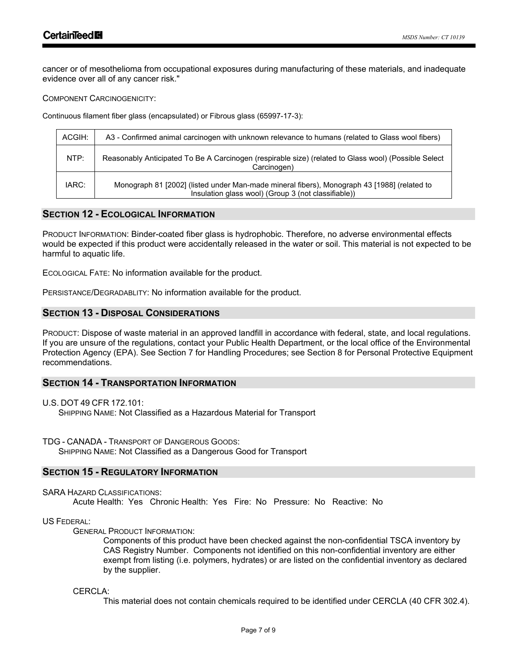cancer or of mesothelioma from occupational exposures during manufacturing of these materials, and inadequate evidence over all of any cancer risk."

COMPONENT CARCINOGENICITY:

Continuous filament fiber glass (encapsulated) or Fibrous glass (65997-17-3):

| ACGIH: | A3 - Confirmed animal carcinogen with unknown relevance to humans (related to Glass wool fibers)                                                   |
|--------|----------------------------------------------------------------------------------------------------------------------------------------------------|
| NTP:   | Reasonably Anticipated To Be A Carcinogen (respirable size) (related to Glass wool) (Possible Select<br>Carcinogen)                                |
| IARC:  | Monograph 81 [2002] (listed under Man-made mineral fibers), Monograph 43 [1988] (related to<br>Insulation glass wool) (Group 3 (not classifiable)) |

# **SECTION 12 - ECOLOGICAL INFORMATION**

PRODUCT INFORMATION: Binder-coated fiber glass is hydrophobic. Therefore, no adverse environmental effects would be expected if this product were accidentally released in the water or soil. This material is not expected to be harmful to aquatic life.

ECOLOGICAL FATE: No information available for the product.

PERSISTANCE/DEGRADABLITY: No information available for the product.

# **SECTION 13 - DISPOSAL CONSIDERATIONS**

PRODUCT: Dispose of waste material in an approved landfill in accordance with federal, state, and local regulations. If you are unsure of the regulations, contact your Public Health Department, or the local office of the Environmental Protection Agency (EPA). See Section 7 for Handling Procedures; see Section 8 for Personal Protective Equipment recommendations.

# **SECTION 14 - TRANSPORTATION INFORMATION**

U.S. DOT 49 CFR 172.101: SHIPPING NAME: Not Classified as a Hazardous Material for Transport

TDG - CANADA - TRANSPORT OF DANGEROUS GOODS: SHIPPING NAME: Not Classified as a Dangerous Good for Transport

# **SECTION 15 - REGULATORY INFORMATION**

SARA HAZARD CLASSIFICATIONS: Acute Health: Yes Chronic Health: Yes Fire: No Pressure: No Reactive: No

US FEDERAL:

GENERAL PRODUCT INFORMATION:

Components of this product have been checked against the non-confidential TSCA inventory by CAS Registry Number. Components not identified on this non-confidential inventory are either exempt from listing (i.e. polymers, hydrates) or are listed on the confidential inventory as declared by the supplier.

CERCLA<sup>.</sup>

This material does not contain chemicals required to be identified under CERCLA (40 CFR 302.4).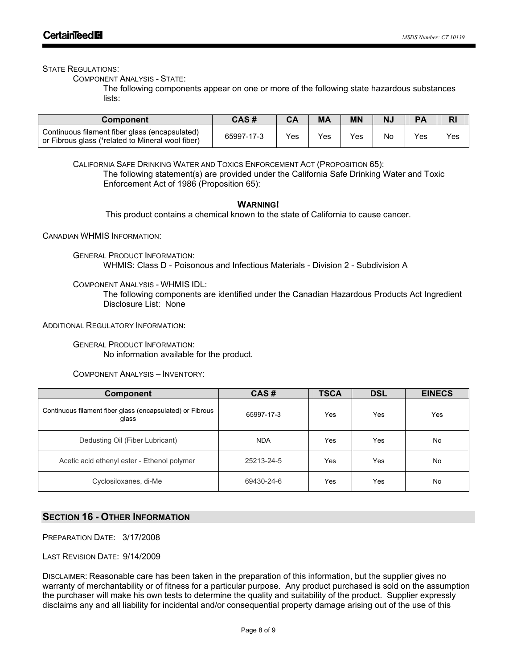STATE REGULATIONS:

COMPONENT ANALYSIS - STATE:

The following components appear on one or more of the following state hazardous substances lists:

| <b>Component</b>                                                                                     | CAS #      |     | MA  | ΜN  | N. |     | R <sub>l</sub> |
|------------------------------------------------------------------------------------------------------|------------|-----|-----|-----|----|-----|----------------|
| Continuous filament fiber glass (encapsulated)<br>or Fibrous glass (1 related to Mineral wool fiber) | 65997-17-3 | Yes | Yes | Yes | No | Yes | Yes            |

CALIFORNIA SAFE DRINKING WATER AND TOXICS ENFORCEMENT ACT (PROPOSITION 65): The following statement(s) are provided under the California Safe Drinking Water and Toxic Enforcement Act of 1986 (Proposition 65):

# **WARNING!**

This product contains a chemical known to the state of California to cause cancer.

CANADIAN WHMIS INFORMATION:

GENERAL PRODUCT INFORMATION: WHMIS: Class D - Poisonous and Infectious Materials - Division 2 - Subdivision A

COMPONENT ANALYSIS - WHMIS IDL:

The following components are identified under the Canadian Hazardous Products Act Ingredient Disclosure List: None

ADDITIONAL REGULATORY INFORMATION:

GENERAL PRODUCT INFORMATION: No information available for the product.

COMPONENT ANALYSIS – INVENTORY:

| <b>Component</b>                                                   | CAS#       | <b>TSCA</b> | <b>DSL</b> | <b>EINECS</b> |
|--------------------------------------------------------------------|------------|-------------|------------|---------------|
| Continuous filament fiber glass (encapsulated) or Fibrous<br>glass | 65997-17-3 | Yes         | Yes        | Yes           |
| Dedusting Oil (Fiber Lubricant)                                    | <b>NDA</b> | Yes         | Yes        | No.           |
| Acetic acid ethenyl ester - Ethenol polymer                        | 25213-24-5 | Yes         | Yes        | No            |
| Cyclosiloxanes, di-Me                                              | 69430-24-6 | Yes         | Yes        | No.           |

# **SECTION 16 - OTHER INFORMATION**

PREPARATION DATE: 3/17/2008

LAST REVISION DATE: 9/14/2009

DISCLAIMER: Reasonable care has been taken in the preparation of this information, but the supplier gives no warranty of merchantability or of fitness for a particular purpose. Any product purchased is sold on the assumption the purchaser will make his own tests to determine the quality and suitability of the product. Supplier expressly disclaims any and all liability for incidental and/or consequential property damage arising out of the use of this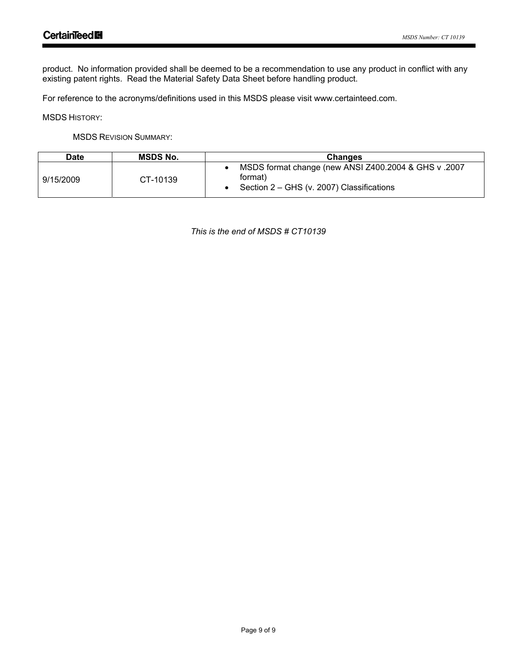product. No information provided shall be deemed to be a recommendation to use any product in conflict with any existing patent rights. Read the Material Safety Data Sheet before handling product.

For reference to the acronyms/definitions used in this MSDS please visit www.certainteed.com.

MSDS HISTORY:

MSDS REVISION SUMMARY:

| Date      | <b>MSDS No.</b> | <b>Changes</b>                                                                                               |  |  |
|-----------|-----------------|--------------------------------------------------------------------------------------------------------------|--|--|
| 9/15/2009 | CT-10139        | MSDS format change (new ANSI Z400.2004 & GHS v.2007)<br>format)<br>Section 2 – GHS (v. 2007) Classifications |  |  |

*This is the end of MSDS # CT10139*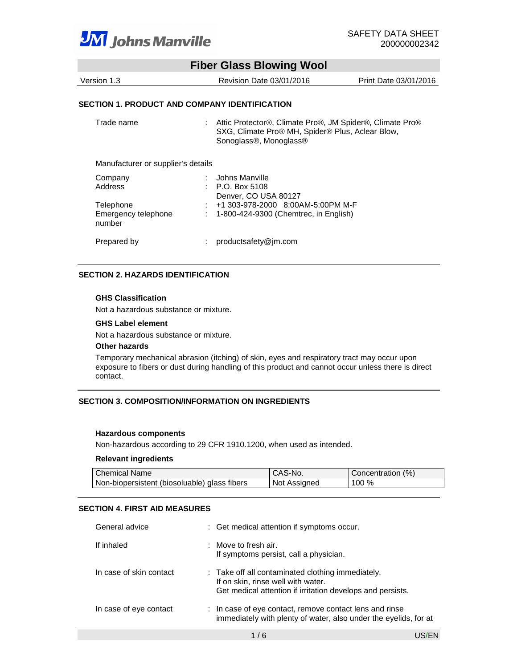

|                                               | <b>Fiber Glass Blowing Wool</b>                                                                                                        |                       |
|-----------------------------------------------|----------------------------------------------------------------------------------------------------------------------------------------|-----------------------|
| Version 1.3                                   | Revision Date 03/01/2016                                                                                                               | Print Date 03/01/2016 |
| SECTION 1. PRODUCT AND COMPANY IDENTIFICATION |                                                                                                                                        |                       |
| Trade name                                    | Attic Protector®, Climate Pro®, JM Spider®, Climate Pro®<br>SXG, Climate Pro® MH, Spider® Plus, Aclear Blow,<br>Sonoglass®, Monoglass® |                       |
| Manufacturer or supplier's details            |                                                                                                                                        |                       |
| Company                                       | Johns Manville                                                                                                                         |                       |
| Address                                       | P.O. Box 5108<br>Denver, CO USA 80127                                                                                                  |                       |
| Telephone                                     | +1 303-978-2000 8:00AM-5:00PM M-F                                                                                                      |                       |
| Emergency telephone<br>number                 | 1-800-424-9300 (Chemtrec, in English)                                                                                                  |                       |

#### **SECTION 2. HAZARDS IDENTIFICATION**

#### **GHS Classification**

Not a hazardous substance or mixture.

#### **GHS Label element**

Not a hazardous substance or mixture.

#### **Other hazards**

Temporary mechanical abrasion (itching) of skin, eyes and respiratory tract may occur upon exposure to fibers or dust during handling of this product and cannot occur unless there is direct contact.

#### **SECTION 3. COMPOSITION/INFORMATION ON INGREDIENTS**

Prepared by : productsafety@jm.com

#### **Hazardous components**

Non-hazardous according to 29 CFR 1910.1200, when used as intended.

#### **Relevant ingredients**

| Chemical Name                                | CAS-No.      | Concentration (%) |
|----------------------------------------------|--------------|-------------------|
| Non-biopersistent (biosoluable) glass fibers | Not Assigned | 100 %             |

#### **SECTION 4. FIRST AID MEASURES**

| General advice          | : Get medical attention if symptoms occur.                                                                                                            |
|-------------------------|-------------------------------------------------------------------------------------------------------------------------------------------------------|
| If inhaled              | $:$ Move to fresh air.<br>If symptoms persist, call a physician.                                                                                      |
| In case of skin contact | : Take off all contaminated clothing immediately.<br>If on skin, rinse well with water.<br>Get medical attention if irritation develops and persists. |
| In case of eye contact  | : In case of eye contact, remove contact lens and rinse<br>immediately with plenty of water, also under the eyelids, for at                           |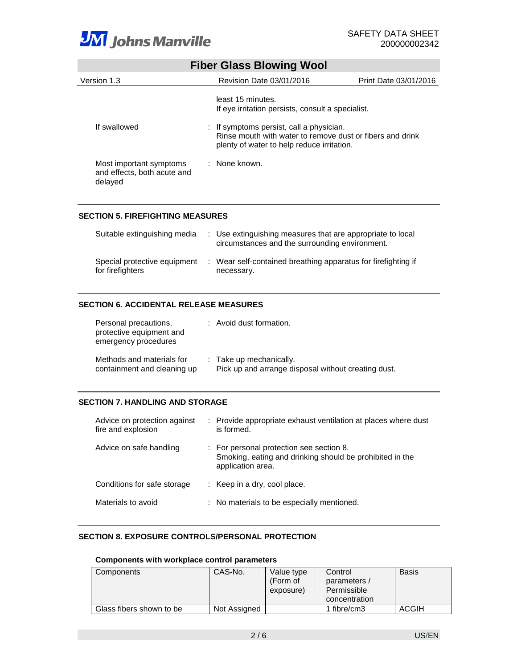

|                                                                   | <b>Fiber Glass Blowing Wool</b>                                                                                    |                       |
|-------------------------------------------------------------------|--------------------------------------------------------------------------------------------------------------------|-----------------------|
| Version 1.3                                                       | Revision Date 03/01/2016                                                                                           | Print Date 03/01/2016 |
| If swallowed                                                      | least 15 minutes.<br>If eye irritation persists, consult a specialist.<br>: If symptoms persist, call a physician. |                       |
|                                                                   | Rinse mouth with water to remove dust or fibers and drink<br>plenty of water to help reduce irritation.            |                       |
| Most important symptoms<br>and effects, both acute and<br>delayed | : None known.                                                                                                      |                       |

# **SECTION 5. FIREFIGHTING MEASURES**

| Suitable extinguishing media                     | : Use extinguishing measures that are appropriate to local<br>circumstances and the surrounding environment. |
|--------------------------------------------------|--------------------------------------------------------------------------------------------------------------|
| Special protective equipment<br>for firefighters | Wear self-contained breathing apparatus for firefighting if<br>necessary.                                    |

#### **SECTION 6. ACCIDENTAL RELEASE MEASURES**

| Personal precautions,<br>protective equipment and<br>emergency procedures | : Avoid dust formation.                                                        |
|---------------------------------------------------------------------------|--------------------------------------------------------------------------------|
| Methods and materials for<br>containment and cleaning up                  | : Take up mechanically.<br>Pick up and arrange disposal without creating dust. |

#### **SECTION 7. HANDLING AND STORAGE**

| Advice on protection against<br>fire and explosion | : Provide appropriate exhaust ventilation at places where dust<br>is formed.                                              |
|----------------------------------------------------|---------------------------------------------------------------------------------------------------------------------------|
| Advice on safe handling                            | : For personal protection see section 8.<br>Smoking, eating and drinking should be prohibited in the<br>application area. |
| Conditions for safe storage                        | $:$ Keep in a dry, cool place.                                                                                            |
| Materials to avoid                                 | : No materials to be especially mentioned.                                                                                |

#### **SECTION 8. EXPOSURE CONTROLS/PERSONAL PROTECTION**

# **Components with workplace control parameters**

| Components               | CAS-No.      | Value type<br>(Form of<br>exposure) | Control<br>parameters /<br>Permissible<br>concentration | <b>Basis</b> |
|--------------------------|--------------|-------------------------------------|---------------------------------------------------------|--------------|
| Glass fibers shown to be | Not Assigned |                                     | 1 fibre/cm3                                             | ACGIH        |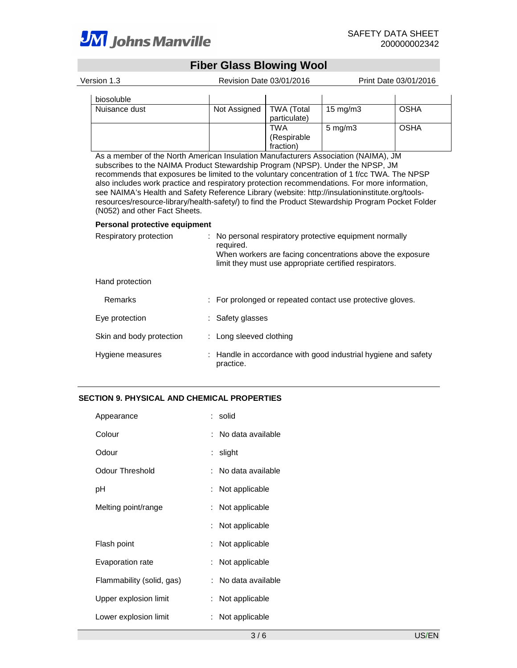

# **Fiber Glass Blowing Wool**

| Version 1.3   | Revision Date 03/01/2016 |                                   | Print Date 03/01/2016 |             |  |
|---------------|--------------------------|-----------------------------------|-----------------------|-------------|--|
| biosoluble    |                          |                                   |                       |             |  |
| Nuisance dust | Not Assigned             | <b>TWA (Total</b><br>particulate) | $15 \text{ mg/m}$     | <b>OSHA</b> |  |
|               |                          | TWA<br>(Respirable<br>fraction)   | $5 \text{ mg/m}$      | <b>OSHA</b> |  |

As a member of the North American Insulation Manufacturers Association (NAIMA), JM subscribes to the NAIMA Product Stewardship Program (NPSP). Under the NPSP, JM recommends that exposures be limited to the voluntary concentration of 1 f/cc TWA. The NPSP also includes work practice and respiratory protection recommendations. For more information, see NAIMA's Health and Safety Reference Library (website: http://insulationinstitute.org/toolsresources/resource-library/health-safety/) to find the Product Stewardship Program Pocket Folder (N052) and other Fact Sheets.

#### **Personal protective equipment**

| Respiratory protection   | No personal respiratory protective equipment normally<br>required.<br>When workers are facing concentrations above the exposure<br>limit they must use appropriate certified respirators. |  |
|--------------------------|-------------------------------------------------------------------------------------------------------------------------------------------------------------------------------------------|--|
| Hand protection          |                                                                                                                                                                                           |  |
| Remarks                  | : For prolonged or repeated contact use protective gloves.                                                                                                                                |  |
| Eye protection           | : Safety glasses                                                                                                                                                                          |  |
| Skin and body protection | : Long sleeved clothing                                                                                                                                                                   |  |
| Hygiene measures         | : Handle in accordance with good industrial hygiene and safety<br>practice.                                                                                                               |  |

#### **SECTION 9. PHYSICAL AND CHEMICAL PROPERTIES**

| Appearance                | : solid             |
|---------------------------|---------------------|
| Colour                    | : No data available |
| Odour                     | : slight            |
| Odour Threshold           | : No data available |
| рH                        | : Not applicable    |
| Melting point/range       | : Not applicable    |
|                           | : Not applicable    |
| Flash point               | : Not applicable    |
| Evaporation rate          | : Not applicable    |
| Flammability (solid, gas) | : No data available |
| Upper explosion limit     | : Not applicable    |
| Lower explosion limit     | Not applicable      |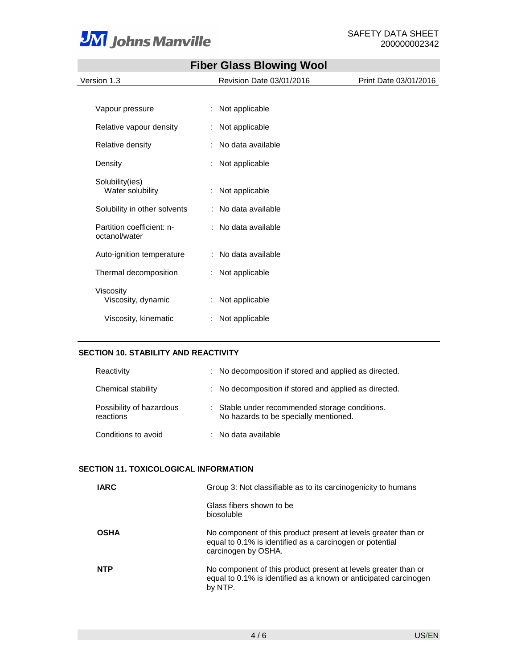

the control of the control of the

|                                            |   | <b>Fiber Glass Blowing Wool</b> |                       |
|--------------------------------------------|---|---------------------------------|-----------------------|
| Version 1.3                                |   | Revision Date 03/01/2016        | Print Date 03/01/2016 |
|                                            |   |                                 |                       |
| Vapour pressure                            |   | : Not applicable                |                       |
| Relative vapour density                    |   | : Not applicable                |                       |
| Relative density                           | ÷ | No data available               |                       |
| Density                                    |   | Not applicable                  |                       |
| Solubility(ies)<br>Water solubility        | ÷ | Not applicable                  |                       |
| Solubility in other solvents               |   | : No data available             |                       |
| Partition coefficient: n-<br>octanol/water |   | : No data available             |                       |
| Auto-ignition temperature                  |   | : No data available             |                       |
| Thermal decomposition                      |   | Not applicable                  |                       |
| Viscosity<br>Viscosity, dynamic            |   | : Not applicable                |                       |
| Viscosity, kinematic                       |   | : Not applicable                |                       |

# **Fiber Glass Blowing Wool**

# **SECTION 10. STABILITY AND REACTIVITY**

| Reactivity                            | : No decomposition if stored and applied as directed.                                   |
|---------------------------------------|-----------------------------------------------------------------------------------------|
| Chemical stability                    | : No decomposition if stored and applied as directed.                                   |
| Possibility of hazardous<br>reactions | : Stable under recommended storage conditions.<br>No hazards to be specially mentioned. |
| Conditions to avoid                   | $\therefore$ No data available                                                          |

#### **SECTION 11. TOXICOLOGICAL INFORMATION**

| IARC        | Group 3: Not classifiable as to its carcinogenicity to humans                                                                                     |
|-------------|---------------------------------------------------------------------------------------------------------------------------------------------------|
|             | Glass fibers shown to be<br>biosoluble                                                                                                            |
| <b>OSHA</b> | No component of this product present at levels greater than or<br>equal to 0.1% is identified as a carcinogen or potential<br>carcinogen by OSHA. |
| <b>NTP</b>  | No component of this product present at levels greater than or<br>equal to 0.1% is identified as a known or anticipated carcinogen<br>by NTP.     |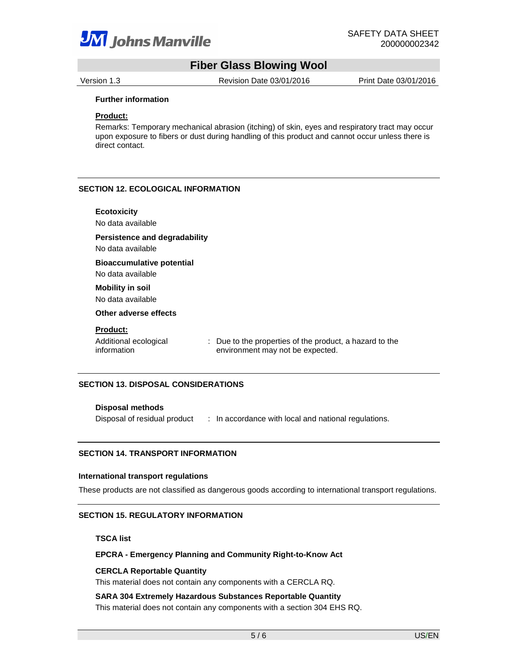

# **Fiber Glass Blowing Wool**

Version 1.3 Revision Date 03/01/2016 Print Date 03/01/2016

#### **Further information**

#### **Product:**

Remarks: Temporary mechanical abrasion (itching) of skin, eyes and respiratory tract may occur upon exposure to fibers or dust during handling of this product and cannot occur unless there is direct contact.

#### **SECTION 12. ECOLOGICAL INFORMATION**

| <b>Ecotoxicity</b><br>No data available                   |                                                                                             |
|-----------------------------------------------------------|---------------------------------------------------------------------------------------------|
| <b>Persistence and degradability</b><br>No data available |                                                                                             |
| <b>Bioaccumulative potential</b><br>No data available     |                                                                                             |
| <b>Mobility in soil</b><br>No data available              |                                                                                             |
| Other adverse effects                                     |                                                                                             |
| <b>Product:</b>                                           |                                                                                             |
| Additional ecological<br>information                      | : Due to the properties of the product, a hazard to the<br>environment may not be expected. |

# **SECTION 13. DISPOSAL CONSIDERATIONS**

#### **Disposal methods**

Disposal of residual product : In accordance with local and national regulations.

#### **SECTION 14. TRANSPORT INFORMATION**

#### **International transport regulations**

These products are not classified as dangerous goods according to international transport regulations.

#### **SECTION 15. REGULATORY INFORMATION**

**TSCA list** 

#### **EPCRA - Emergency Planning and Community Right-to-Know Act**

#### **CERCLA Reportable Quantity**

This material does not contain any components with a CERCLA RQ.

**SARA 304 Extremely Hazardous Substances Reportable Quantity** 

This material does not contain any components with a section 304 EHS RQ.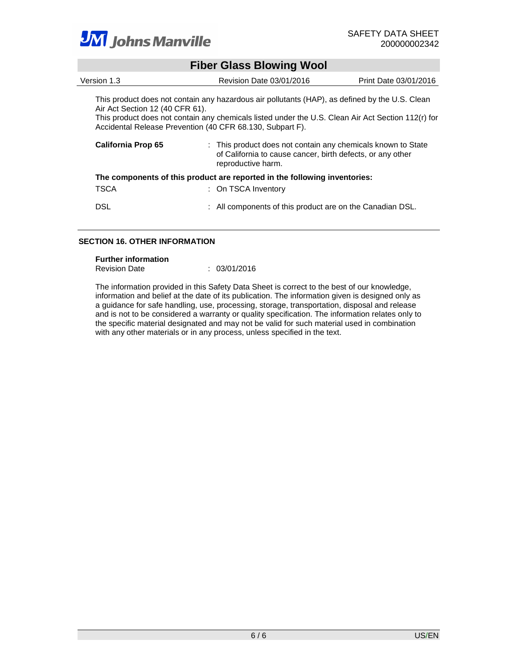

|                                 | <b>Fiber Glass Blowing Wool</b>                                                                                                                                                                                                                                   |                       |
|---------------------------------|-------------------------------------------------------------------------------------------------------------------------------------------------------------------------------------------------------------------------------------------------------------------|-----------------------|
| Version 1.3                     | Revision Date 03/01/2016                                                                                                                                                                                                                                          | Print Date 03/01/2016 |
| Air Act Section 12 (40 CFR 61). | This product does not contain any hazardous air pollutants (HAP), as defined by the U.S. Clean<br>This product does not contain any chemicals listed under the U.S. Clean Air Act Section 112(r) for<br>Accidental Release Prevention (40 CFR 68.130, Subpart F). |                       |
| California Prop 65              | : This product does not contain any chemicals known to State<br>of California to cause cancer, birth defects, or any other<br>reproductive harm.                                                                                                                  |                       |
|                                 | The components of this product are reported in the following inventories:                                                                                                                                                                                         |                       |
| TSCA                            | : On TSCA Inventory                                                                                                                                                                                                                                               |                       |
| <b>DSL</b>                      | : All components of this product are on the Canadian DSL.                                                                                                                                                                                                         |                       |

# **SECTION 16. OTHER INFORMATION**

#### **Further information**

| <b>Revision Date</b> | 03/01/2016 |
|----------------------|------------|
|                      |            |

The information provided in this Safety Data Sheet is correct to the best of our knowledge, information and belief at the date of its publication. The information given is designed only as a guidance for safe handling, use, processing, storage, transportation, disposal and release and is not to be considered a warranty or quality specification. The information relates only to the specific material designated and may not be valid for such material used in combination with any other materials or in any process, unless specified in the text.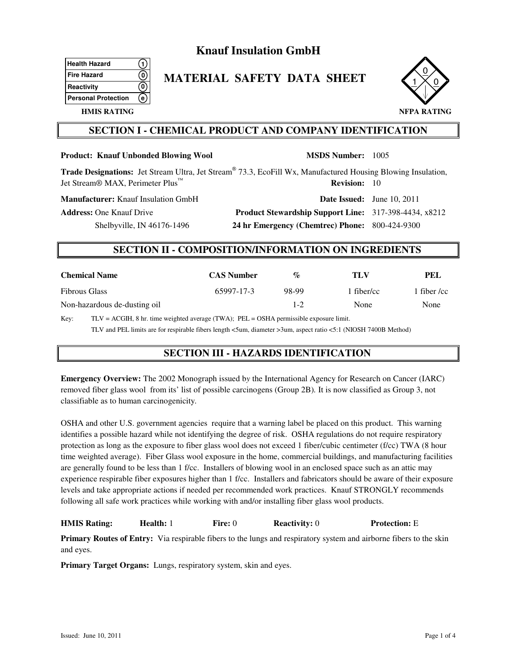# **Knauf Insulation GmbH**

| <b>Health Hazard</b>       |  |
|----------------------------|--|
| <b>Fire Hazard</b>         |  |
| Reactivity                 |  |
| <b>Personal Protection</b> |  |
|                            |  |

# **MATERIAL SAFETY DATA SHEET**



# **HMIS RATING**

# **SECTION I - CHEMICAL PRODUCT AND COMPANY IDENTIFICATION**

| <b>Product: Knauf Unbonded Blowing Wool</b>                                                                                                                                                                                                                                                                                              |                   |                                                              | <b>MSDS Number: 1005</b>          |                   |
|------------------------------------------------------------------------------------------------------------------------------------------------------------------------------------------------------------------------------------------------------------------------------------------------------------------------------------------|-------------------|--------------------------------------------------------------|-----------------------------------|-------------------|
| <b>Trade Designations:</b> Jet Stream Ultra, Jet Stream® 73.3, EcoFill Wx, Manufactured Housing Blowing Insulation,<br>Jet Stream <sup>®</sup> MAX, Perimeter Plus <sup>™</sup>                                                                                                                                                          |                   |                                                              | <b>Revision:</b> 10               |                   |
| <b>Manufacturer:</b> Knauf Insulation GmbH                                                                                                                                                                                                                                                                                               |                   |                                                              | <b>Date Issued:</b> June 10, 2011 |                   |
| <b>Address:</b> One Knauf Drive                                                                                                                                                                                                                                                                                                          |                   | <b>Product Stewardship Support Line:</b> 317-398-4434, x8212 |                                   |                   |
| Shelbyville, IN $46176-1496$                                                                                                                                                                                                                                                                                                             |                   | 24 hr Emergency (Chemtrec) Phone: 800-424-9300               |                                   |                   |
| <b>SECTION II - COMPOSITION/INFORMATION ON INGREDIENTS</b>                                                                                                                                                                                                                                                                               |                   |                                                              |                                   |                   |
| <b>Chemical Name</b>                                                                                                                                                                                                                                                                                                                     | <b>CAS Number</b> | $\%$                                                         | TLV                               | PEL               |
| <b>Fibrous Glass</b>                                                                                                                                                                                                                                                                                                                     | 65997-17-3        | 98-99                                                        | 1 fiber/cc                        | 1 fiber $\ell$ cc |
| Non-hazardous de-dusting oil                                                                                                                                                                                                                                                                                                             |                   | $1-2$                                                        | None                              | None              |
| THE MULTIMORE OF Land and the state of the state of $\overline{C}$ and $\overline{C}$ and $\overline{C}$ and $\overline{C}$ and $\overline{C}$ and $\overline{C}$ and $\overline{C}$ and $\overline{C}$ and $\overline{C}$ and $\overline{C}$ and $\overline{C}$ and $\overline{C}$ and $\overline{C}$ and<br>$\mathbf{L}^{\mathcal{F}}$ |                   |                                                              |                                   |                   |

Key: TLV = ACGIH, 8 hr. time weighted average (TWA); PEL = OSHA permissible exposure limit. TLV and PEL limits are for respirable fibers length <5um, diameter >3um, aspect ratio <5:1 (NIOSH 7400B Method)

# **SECTION III - HAZARDS IDENTIFICATION**

**Emergency Overview:** The 2002 Monograph issued b*y* the International Agency for Research on Cancer (IARC) removed fiber glass wool from its' list of possible carcinogens (Group 2B)*.* It is now classified as Group 3, not classifiable as to human carcinogenicity*.*

OSHA and other U.S. government agenciesrequire that a warning label be placed on this product. This warning identifies a possible hazard while not identifying the degree of risk. OSHA regulations do not require respiratory protection as long as the exposure to fiber glass wool does not exceed 1 fiber/cubic centimeter (f/cc) TWA (8 hour time weighted average). Fiber Glass wool exposure in the home, commercial buildings, and manufacturing facilities are generally found to be less than 1 f/cc. Installers of blowing wool in an enclosed space such as an attic may experience respirable fiber exposures higher than 1 f/cc. Installers and fabricators should be aware of their exposure levels and take appropriate actions if needed per recommended work practices. Knauf STRONGLY recommends following all safe work practices while working with and/or installing fiber glass wool products.

# **HMIS Rating: Health:** 1 **Fire:** 0 **Reactivity:** 0 **Protection:** E

**Primary Routes of Entry:** Via respirable fibers to the lungs and respiratory system and airborne fibers to the skin and eyes.

**Primary Target Organs:** Lungs, respiratory system, skin and eyes.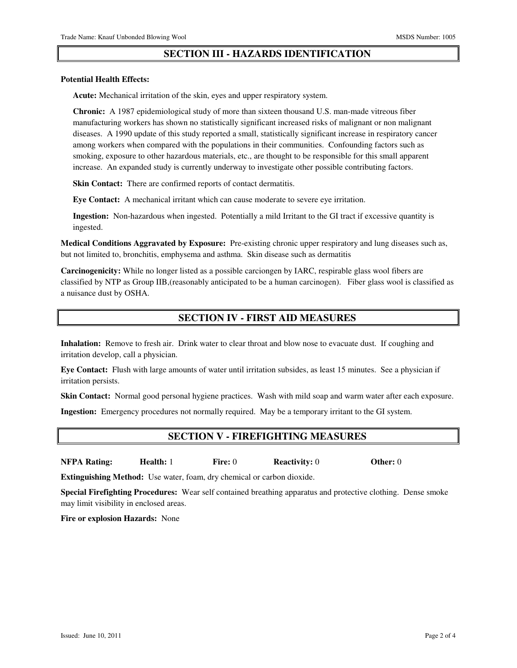# **SECTION III - HAZARDS IDENTIFICATION**

#### **Potential Health Effects:**

 **Acute:** Mechanical irritation of the skin, eyes and upper respiratory system.

 **Chronic:** A 1987 epidemiological study of more than sixteen thousand U.S. man-made vitreous fiber manufacturing workers has shown no statistically significant increased risks of malignant or non malignant diseases. A 1990 update of this study reported a small, statistically significant increase in respiratory cancer among workers when compared with the populations in their communities. Confounding factors such as smoking, exposure to other hazardous materials, etc., are thought to be responsible for this small apparent increase. An expanded study is currently underway to investigate other possible contributing factors.

**Skin Contact:** There are confirmed reports of contact dermatitis.

 **Eye Contact:** A mechanical irritant which can cause moderate to severe eye irritation.

 **Ingestion:** Non-hazardous when ingested. Potentially a mild Irritant to the GI tract if excessive quantity is ingested.

**Medical Conditions Aggravated by Exposure:** Pre-existing chronic upper respiratory and lung diseases such as, but not limited to, bronchitis, emphysema and asthma. Skin disease such as dermatitis

**Carcinogenicity:** While no longer listed as a possible carciongen by IARC, respirable glass wool fibers are classified by NTP as Group IIB,(reasonably anticipated to be a human carcinogen). Fiber glass wool is classified as a nuisance dust by OSHA.

# **SECTION IV - FIRST AID MEASURES**

**Inhalation:** Remove to fresh air. Drink water to clear throat and blow nose to evacuate dust. If coughing and irritation develop, call a physician.

**Eye Contact:** Flush with large amounts of water until irritation subsides, as least 15 minutes. See a physician if irritation persists.

**Skin Contact:** Normal good personal hygiene practices. Wash with mild soap and warm water after each exposure.

**Ingestion:** Emergency procedures not normally required. May be a temporary irritant to the GI system.

# **SECTION V - FIREFIGHTING MEASURES**

**NFPA Rating: Health:** 1 **Fire:** 0 **Reactivity:** 0 **Other:** 0

**Extinguishing Method:** Use water, foam, dry chemical or carbon dioxide.

**Special Firefighting Procedures:** Wear self contained breathing apparatus and protective clothing. Dense smoke may limit visibility in enclosed areas.

**Fire or explosion Hazards:** None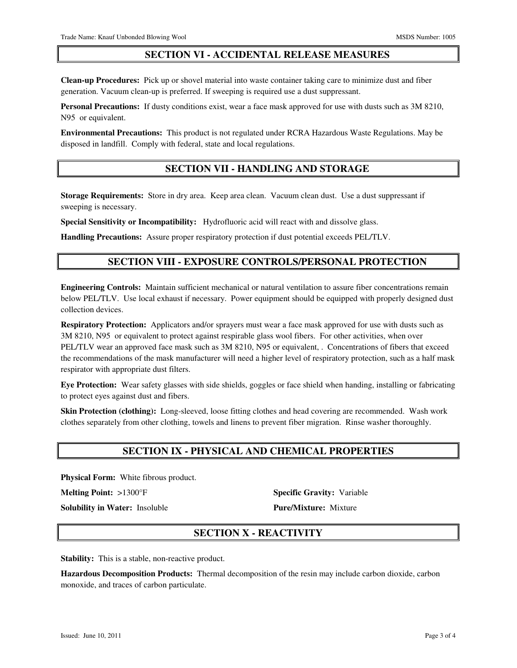# **SECTION VI - ACCIDENTAL RELEASE MEASURES**

**Clean-up Procedures:** Pick up or shovel material into waste container taking care to minimize dust and fiber generation. Vacuum clean-up is preferred. If sweeping is required use a dust suppressant.

**Personal Precautions:** If dusty conditions exist, wear a face mask approved for use with dusts such as 3M 8210, N95 or equivalent.

**Environmental Precautions:** This product is not regulated under RCRA Hazardous Waste Regulations. May be disposed in landfill. Comply with federal, state and local regulations.

# **SECTION VII - HANDLING AND STORAGE**

**Storage Requirements:** Store in dry area. Keep area clean. Vacuum clean dust. Use a dust suppressant if sweeping is necessary.

**Special Sensitivity or Incompatibility:** Hydrofluoric acid will react with and dissolve glass.

**Handling Precautions:** Assure proper respiratory protection if dust potential exceeds PEL/TLV.

# **SECTION VIII - EXPOSURE CONTROLS/PERSONAL PROTECTION**

**Engineering Controls:** Maintain sufficient mechanical or natural ventilation to assure fiber concentrations remain below PEL/TLV. Use local exhaust if necessary. Power equipment should be equipped with properly designed dust collection devices.

**Respiratory Protection:** Applicators and/or sprayers must wear a face mask approved for use with dusts such as 3M 8210, N95 or equivalent to protect against respirable glass wool fibers. For other activities, when over PEL/TLV wear an approved face mask such as 3M 8210, N95 or equivalent, . Concentrations of fibers that exceed the recommendations of the mask manufacturer will need a higher level of respiratory protection, such as a half mask respirator with appropriate dust filters.

**Eye Protection:** Wear safety glasses with side shields, goggles or face shield when handing, installing or fabricating to protect eyes against dust and fibers.

**Skin Protection (clothing):** Long-sleeved, loose fitting clothes and head covering are recommended. Wash work clothes separately from other clothing, towels and linens to prevent fiber migration. Rinse washer thoroughly.

# **SECTION IX - PHYSICAL AND CHEMICAL PROPERTIES**

**Physical Form:** White fibrous product.

**Solubility in Water:** Insoluble **Pure/Mixture:** Mixture

**Melting Point:** >1300°F **Specific Gravity:** Variable

# **SECTION X - REACTIVITY**

**Stability:** This is a stable, non-reactive product.

**Hazardous Decomposition Products:** Thermal decomposition of the resin may include carbon dioxide, carbon monoxide, and traces of carbon particulate.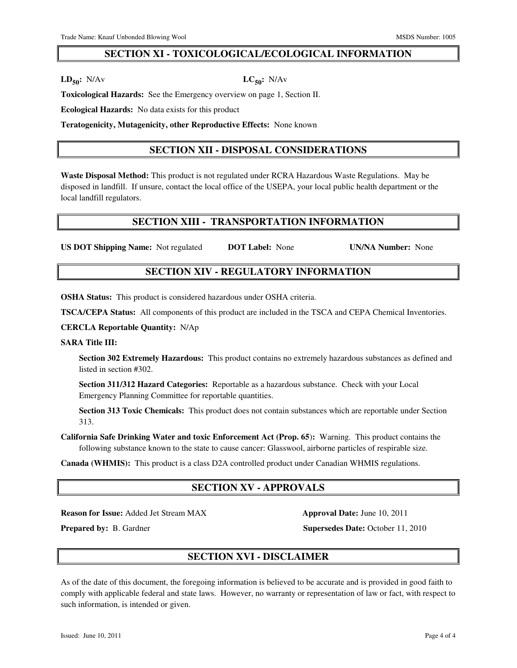# **SECTION XI - TOXICOLOGICAL/ECOLOGICAL INFORMATION**

 $\text{LD}_{50}$ **:** N/Av  $\text{LC}_{50}$ **:** N/Av

**Toxicological Hazards:** See the Emergency overview on page 1, Section II.

**Ecological Hazards:** No data exists for this product

**Teratogenicity, Mutagenicity, other Reproductive Effects:** None known

# **SECTION XII - DISPOSAL CONSIDERATIONS**

**Waste Disposal Method:** This product is not regulated under RCRA Hazardous Waste Regulations. May be disposed in landfill. If unsure, contact the local office of the USEPA, your local public health department or the local landfill regulators.

# **SECTION XIII - TRANSPORTATION INFORMATION**

**US DOT Shipping Name:** Not regulated **DOT Label:** None **UN/NA Number:** None

# **SECTION XIV - REGULATORY INFORMATION**

**OSHA Status:** This product is considered hazardous under OSHA criteria.

**TSCA/CEPA Status:** All components of this product are included in the TSCA and CEPA Chemical Inventories.

**CERCLA Reportable Quantity:** N/Ap

#### **SARA Title III:**

 **Section 302 Extremely Hazardous:** This product contains no extremely hazardous substances as defined and listed in section #302.

 **Section 311/312 Hazard Categories:** Reportable as a hazardous substance. Check with your Local Emergency Planning Committee for reportable quantities.

 **Section 313 Toxic Chemicals:** This product does not contain substances which are reportable under Section 313.

**California Safe Drinking Water and toxic Enforcement Act (Prop. 65**)**:** Warning. This product contains the following substance known to the state to cause cancer: Glasswool, airborne particles of respirable size.

**Canada (WHMIS):** This product is a class D2A controlled product under Canadian WHMIS regulations.

# **SECTION XV - APPROVALS**

**Reason for Issue:** Added Jet Stream MAX **Approval Date:** June 10, 2011

**Prepared by: B. Gardner <b>Supersedes Date:** October 11, 2010

# **SECTION XVI - DISCLAIMER**

As of the date of this document, the foregoing information is believed to be accurate and is provided in good faith to comply with applicable federal and state laws. However, no warranty or representation of law or fact, with respect to such information, is intended or given.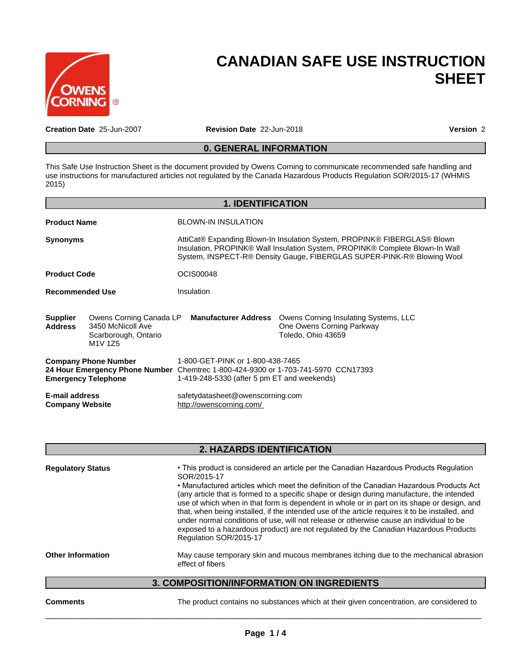

# **CANADIAN SAFE USE INSTRUCTION SHEET**

**Creation Date** 25-Jun-2007 **Revision Date** 22-Jun-2018 **Version** 2

# **0. GENERAL INFORMATION**

This Safe Use Instruction Sheet is the document provided by Owens Corning to communicate recommended safe handling and use instructions for manufactured articles not regulated by the Canada Hazardous Products Regulation SOR/2015-17 (WHMIS 2015)

|                                                           |                                                                                                          | <b>1. IDENTIFICATION</b>                                                                                                                                             |                                                                                                                                                                                                                                    |  |  |
|-----------------------------------------------------------|----------------------------------------------------------------------------------------------------------|----------------------------------------------------------------------------------------------------------------------------------------------------------------------|------------------------------------------------------------------------------------------------------------------------------------------------------------------------------------------------------------------------------------|--|--|
| <b>Product Name</b>                                       |                                                                                                          | <b>BLOWN-IN INSULATION</b>                                                                                                                                           |                                                                                                                                                                                                                                    |  |  |
| Synonyms                                                  |                                                                                                          |                                                                                                                                                                      | AttiCat® Expanding Blown-In Insulation System, PROPINK® FIBERGLAS® Blown<br>Insulation, PROPINK® Wall Insulation System, PROPINK® Complete Blown-In Wall<br>System, INSPECT-R® Density Gauge, FIBERGLAS SUPER-PINK-R® Blowing Wool |  |  |
| <b>Product Code</b>                                       |                                                                                                          | OCIS00048                                                                                                                                                            |                                                                                                                                                                                                                                    |  |  |
| <b>Recommended Use</b>                                    |                                                                                                          | Insulation                                                                                                                                                           |                                                                                                                                                                                                                                    |  |  |
| <b>Supplier</b><br>Address                                | Owens Corning Canada LP<br>3450 McNicoll Ave<br>Scarborough, Ontario<br>M <sub>1</sub> V 1Z <sub>5</sub> | <b>Manufacturer Address</b>                                                                                                                                          | Owens Corning Insulating Systems, LLC<br>One Owens Corning Parkway<br>Toledo, Ohio 43659                                                                                                                                           |  |  |
| <b>Company Phone Number</b><br><b>Emergency Telephone</b> |                                                                                                          | 1-800-GET-PINK or 1-800-438-7465<br>24 Hour Emergency Phone Number Chemtrec 1-800-424-9300 or 1-703-741-5970 CCN17393<br>1-419-248-5330 (after 5 pm ET and weekends) |                                                                                                                                                                                                                                    |  |  |
| <b>E-mail address</b><br><b>Company Website</b>           |                                                                                                          | safetydatasheet@owenscorning.com<br>http://owenscorning.com/                                                                                                         |                                                                                                                                                                                                                                    |  |  |

# **2. HAZARDS IDENTIFICATION**

| <b>Regulatory Status</b> | • This product is considered an article per the Canadian Hazardous Products Regulation<br>SOR/2015-17<br>• Manufactured articles which meet the definition of the Canadian Hazardous Products Act<br>(any article that is formed to a specific shape or design during manufacture, the intended<br>use of which when in that form is dependent in whole or in part on its shape or design, and |
|--------------------------|------------------------------------------------------------------------------------------------------------------------------------------------------------------------------------------------------------------------------------------------------------------------------------------------------------------------------------------------------------------------------------------------|
|                          | that, when being installed, if the intended use of the article requires it to be installed, and<br>under normal conditions of use, will not release or otherwise cause an individual to be<br>exposed to a hazardous product) are not regulated by the Canadian Hazardous Products<br>Regulation SOR/2015-17                                                                                   |
| <b>Other Information</b> | May cause temporary skin and mucous membranes itching due to the mechanical abrasion<br>effect of fibers                                                                                                                                                                                                                                                                                       |

# **3. COMPOSITION/INFORMATION ON INGREDIENTS**

**Comments** The product contains no substances which at their given concentration, are considered to

 $\overline{\phantom{a}}$  ,  $\overline{\phantom{a}}$  ,  $\overline{\phantom{a}}$  ,  $\overline{\phantom{a}}$  ,  $\overline{\phantom{a}}$  ,  $\overline{\phantom{a}}$  ,  $\overline{\phantom{a}}$  ,  $\overline{\phantom{a}}$  ,  $\overline{\phantom{a}}$  ,  $\overline{\phantom{a}}$  ,  $\overline{\phantom{a}}$  ,  $\overline{\phantom{a}}$  ,  $\overline{\phantom{a}}$  ,  $\overline{\phantom{a}}$  ,  $\overline{\phantom{a}}$  ,  $\overline{\phantom{a}}$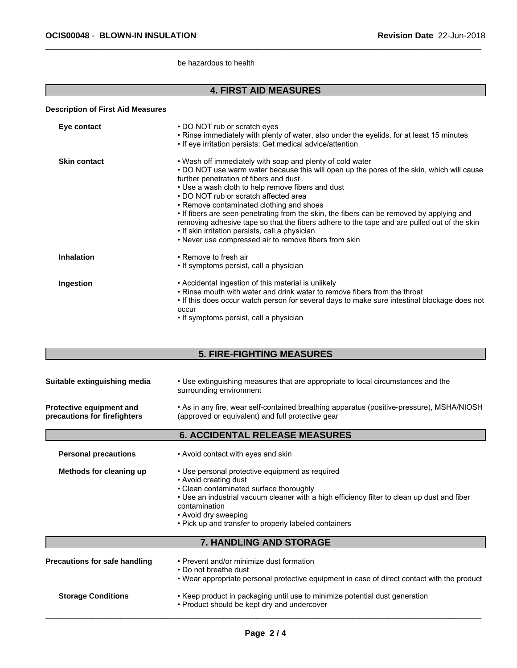be hazardous to health

# **4. FIRST AID MEASURES**

#### **Description of First Aid Measures**

| Eye contact         | • DO NOT rub or scratch eyes<br>. Rinse immediately with plenty of water, also under the eyelids, for at least 15 minutes<br>• If eye irritation persists: Get medical advice/attention                                                                                                                                                                                                                                                                                                                                                                                                                                                            |
|---------------------|----------------------------------------------------------------------------------------------------------------------------------------------------------------------------------------------------------------------------------------------------------------------------------------------------------------------------------------------------------------------------------------------------------------------------------------------------------------------------------------------------------------------------------------------------------------------------------------------------------------------------------------------------|
| <b>Skin contact</b> | • Wash off immediately with soap and plenty of cold water<br>• DO NOT use warm water because this will open up the pores of the skin, which will cause<br>further penetration of fibers and dust<br>• Use a wash cloth to help remove fibers and dust<br>• DO NOT rub or scratch affected area<br>• Remove contaminated clothing and shoes<br>• If fibers are seen penetrating from the skin, the fibers can be removed by applying and<br>removing adhesive tape so that the fibers adhere to the tape and are pulled out of the skin<br>• If skin irritation persists, call a physician<br>• Never use compressed air to remove fibers from skin |
| <b>Inhalation</b>   | • Remove to fresh air<br>• If symptoms persist, call a physician                                                                                                                                                                                                                                                                                                                                                                                                                                                                                                                                                                                   |
| Ingestion           | • Accidental ingestion of this material is unlikely<br>• Rinse mouth with water and drink water to remove fibers from the throat<br>• If this does occur watch person for several days to make sure intestinal blockage does not<br>occur<br>• If symptoms persist, call a physician                                                                                                                                                                                                                                                                                                                                                               |

# **5. FIRE-FIGHTING MEASURES**

|                                                          | <b>6. ACCIDENTAL RELEASE MEASURES</b>                                                                                                          |
|----------------------------------------------------------|------------------------------------------------------------------------------------------------------------------------------------------------|
| Protective equipment and<br>precautions for firefighters | • As in any fire, wear self-contained breathing apparatus (positive-pressure), MSHA/NIOSH<br>(approved or equivalent) and full protective gear |
| Suitable extinguishing media                             | • Use extinguishing measures that are appropriate to local circumstances and the<br>surrounding environment                                    |

**Personal precautions** • Avoid contact with eyes and skin

| Methods for cleaning up              | • Use personal protective equipment as required<br>• Avoid creating dust<br>• Clean contaminated surface thoroughly<br>. Use an industrial vacuum cleaner with a high efficiency filter to clean up dust and fiber<br>contamination<br>• Avoid dry sweeping<br>• Pick up and transfer to properly labeled containers |
|--------------------------------------|----------------------------------------------------------------------------------------------------------------------------------------------------------------------------------------------------------------------------------------------------------------------------------------------------------------------|
|                                      | <b>7. HANDLING AND STORAGE</b>                                                                                                                                                                                                                                                                                       |
| <b>Precautions for safe handling</b> | • Prevent and/or minimize dust formation<br>• Do not breathe dust<br>. Wear appropriate personal protective equipment in case of direct contact with the product                                                                                                                                                     |
| <b>Storage Conditions</b>            | • Keep product in packaging until use to minimize potential dust generation<br>• Product should be kept dry and undercover                                                                                                                                                                                           |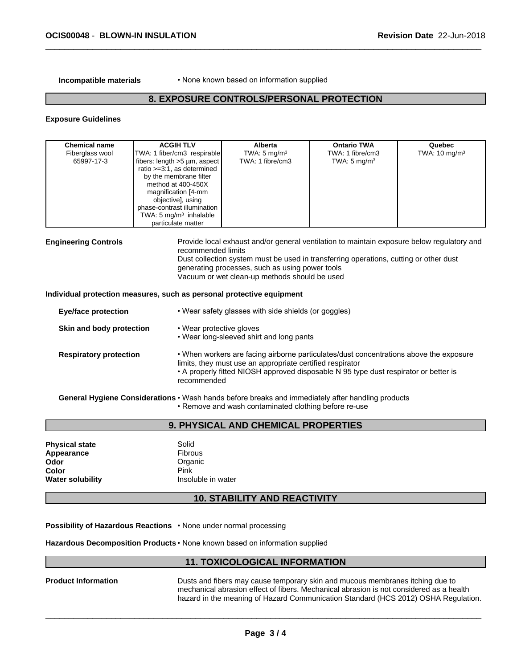**Incompatible materials** • None known based on information supplied

# **8. EXPOSURE CONTROLS/PERSONAL PROTECTION**

#### **Exposure Guidelines**

| <b>Chemical name</b>                                                                                 | <b>ACGIH TLV</b>                                                                                                                                                                                                                                                                       | <b>Alberta</b>                                                                                   | <b>Ontario TWA</b>                                                                                                                                                                  | Quebec                   |
|------------------------------------------------------------------------------------------------------|----------------------------------------------------------------------------------------------------------------------------------------------------------------------------------------------------------------------------------------------------------------------------------------|--------------------------------------------------------------------------------------------------|-------------------------------------------------------------------------------------------------------------------------------------------------------------------------------------|--------------------------|
| Fiberglass wool<br>65997-17-3                                                                        | TWA: 1 fiber/cm3 respirable<br>fibers: $length > 5 \mu m$ , aspect<br>ratio >=3:1, as determined<br>by the membrane filter<br>method at 400-450X<br>magnification [4-mm<br>objective], using<br>phase-contrast illumination<br>TWA: $5 \text{ mg/m}^3$ inhalable<br>particulate matter | TWA: $5 \text{ mg/m}^3$<br>TWA: 1 fibre/cm3                                                      | TWA: 1 fibre/cm3<br>TWA: $5 \text{ mg/m}^3$                                                                                                                                         | TWA: $10 \text{ mg/m}^3$ |
| <b>Engineering Controls</b><br>Individual protection measures, such as personal protective equipment | recommended limits                                                                                                                                                                                                                                                                     | generating processes, such as using power tools<br>Vacuum or wet clean-up methods should be used | Provide local exhaust and/or general ventilation to maintain exposure below regulatory and<br>Dust collection system must be used in transferring operations, cutting or other dust |                          |
| <b>Eye/face protection</b>                                                                           |                                                                                                                                                                                                                                                                                        | • Wear safety glasses with side shields (or goggles)                                             |                                                                                                                                                                                     |                          |
| Skin and body protection                                                                             | • Wear protective gloves                                                                                                                                                                                                                                                               | • Wear long-sleeved shirt and long pants                                                         |                                                                                                                                                                                     |                          |
| <b>Respiratory protection</b>                                                                        | recommended                                                                                                                                                                                                                                                                            | limits, they must use an appropriate certified respirator                                        | . When workers are facing airborne particulates/dust concentrations above the exposure<br>• A properly fitted NIOSH approved disposable N 95 type dust respirator or better is      |                          |
|                                                                                                      |                                                                                                                                                                                                                                                                                        | . Remove and wash contaminated clothing before re-use                                            | General Hygiene Considerations · Wash hands before breaks and immediately after handling products                                                                                   |                          |
|                                                                                                      |                                                                                                                                                                                                                                                                                        |                                                                                                  |                                                                                                                                                                                     |                          |

# **9. PHYSICAL AND CHEMICAL PROPERTIES**

| <b>Physical state</b>   | Solid              |
|-------------------------|--------------------|
| Appearance              | <b>Fibrous</b>     |
| Odor                    | Organic            |
| Color                   | Pink               |
| <b>Water solubility</b> | Insoluble in water |

# **10. STABILITY AND REACTIVITY**

**Possibility of Hazardous Reactions • None under normal processing** 

Hazardous Decomposition Products · None known based on information supplied

# **11. TOXICOLOGICAL INFORMATION**

**Product Information Dusts and fibers may cause temporary skin and mucous membranes itching due to** mechanical abrasion effect of fibers. Mechanical abrasion is not considered as a health hazard in the meaning of Hazard Communication Standard (HCS 2012) OSHA Regulation.

 $\overline{\phantom{a}}$  ,  $\overline{\phantom{a}}$  ,  $\overline{\phantom{a}}$  ,  $\overline{\phantom{a}}$  ,  $\overline{\phantom{a}}$  ,  $\overline{\phantom{a}}$  ,  $\overline{\phantom{a}}$  ,  $\overline{\phantom{a}}$  ,  $\overline{\phantom{a}}$  ,  $\overline{\phantom{a}}$  ,  $\overline{\phantom{a}}$  ,  $\overline{\phantom{a}}$  ,  $\overline{\phantom{a}}$  ,  $\overline{\phantom{a}}$  ,  $\overline{\phantom{a}}$  ,  $\overline{\phantom{a}}$